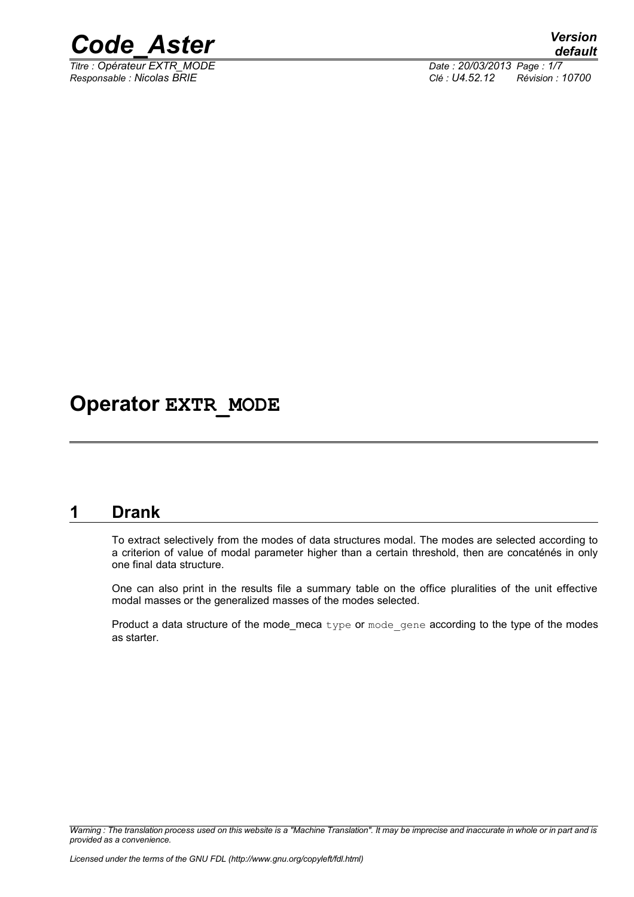

*Titre : Opérateur EXTR\_MODE Date : 20/03/2013 Page : 1/7*

*Responsable : Nicolas BRIE Clé : U4.52.12 Révision : 10700*

## **Operator EXTR\_MODE**

### **1 Drank**

To extract selectively from the modes of data structures modal. The modes are selected according to a criterion of value of modal parameter higher than a certain threshold, then are concaténés in only one final data structure.

One can also print in the results file a summary table on the office pluralities of the unit effective modal masses or the generalized masses of the modes selected.

Product a data structure of the mode\_meca type or mode gene according to the type of the modes as starter.

*Warning : The translation process used on this website is a "Machine Translation". It may be imprecise and inaccurate in whole or in part and is provided as a convenience.*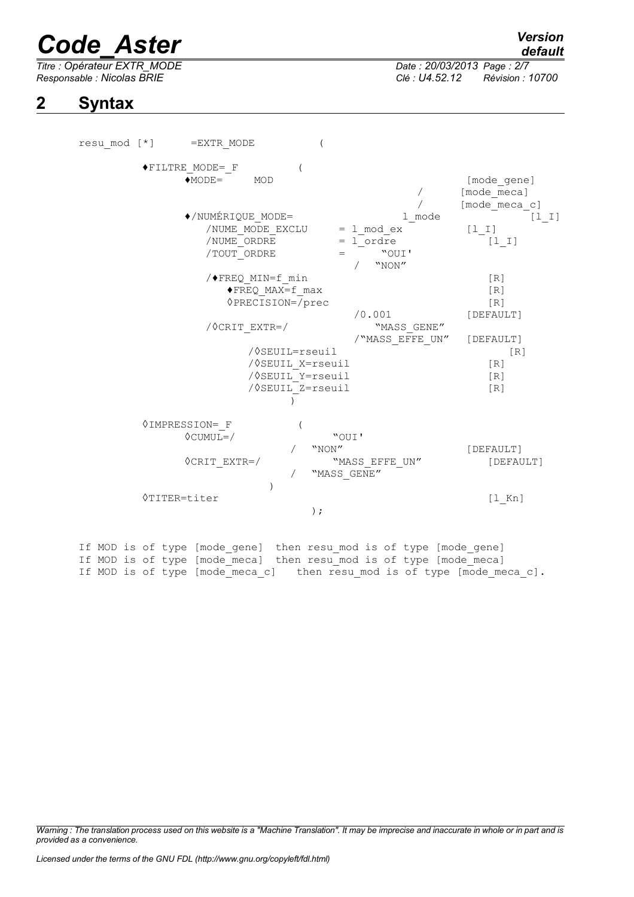## *Code\_Aster Version*

*Titre : Opérateur EXTR\_MODE Date : 20/03/2013 Page : 2/7 Responsable : Nicolas BRIE Clé : U4.52.12 Révision : 10700*

*default*

**2 Syntax** 

resu\_mod [\*] =EXTR\_MODE (  $\begin{array}{ccc} \bullet \text{FILTRE}\_\text{MODE}=\text{F} & & \text{(} \\ \bullet \text{MODE}=\text{Q} & \text{MOD} \end{array}$ [mode gene] / [mode\_meca]<br>/ [mode\_meca / [mode\_meca\_c]<br>1 mode [1  $\bullet$ /NUMÉRIQUE MODE= l mode  $\begin{bmatrix} 1 & 1 \end{bmatrix}$ /NUME MODE EXCLU =  $1 \text{ mod } ex$  [l I]  $\frac{1}{2}$  /NUME<sup>\_</sup>ORDRE =  $\frac{1}{2}$  ordre  $\frac{1}{2}$  [1\_I]  $/TOUT$  ORDRE  $=$ / "NON"  $/$  FREQ MIN=f min [R]  $\blacklozenge$  FREQ MAX=f max [R] ◊PRECISION=/prec [R] /0.001 [DEFAULT]  $\sqrt{\text{CRIT EXTR}}$  = / /"MASS\_EFFE\_UN" [DEFAULT] /◊SEUIL=rseuil [R] /◊SEUIL\_X=rseuil [R] /◊SEUIL\_Y=rseuil [R] /◊SEUIL\_Z=rseuil [R]  $\overline{)}$ ◊IMPRESSION=\_F ( ◊CUMUL=/ "OUI' / "NON" [DEFAULT] <sup>O</sup>CRIT\_EXTR=/ "MASS\_EFFE\_UN" [DEFAULT] "MASS GENE" ) ◊TITER=titer [l\_Kn] );

If MOD is of type [mode gene] then resu mod is of type [mode gene] If MOD is of type [mode\_meca] then resu\_mod is of type [mode\_meca] If MOD is of type [mode meca c] then resu mod is of type [mode meca c].

*Warning : The translation process used on this website is a "Machine Translation". It may be imprecise and inaccurate in whole or in part and is provided as a convenience.*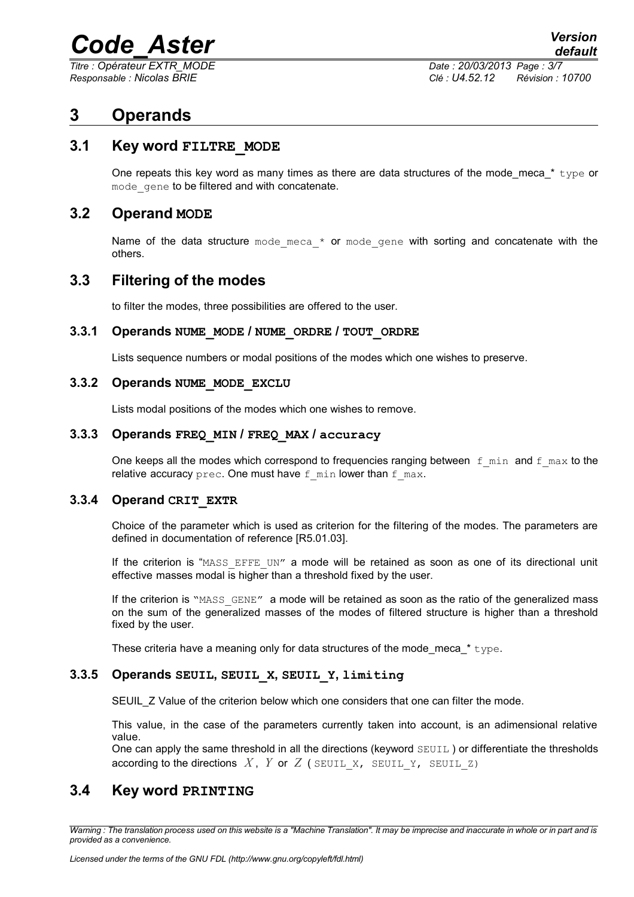## *Code\_Aster Version*

*Titre : Opérateur EXTR\_MODE Date : 20/03/2013 Page : 3/7*

*Responsable : Nicolas BRIE Clé : U4.52.12 Révision : 10700*

## **3 Operands**

#### **3.1 Key word FILTRE\_MODE**

One repeats this key word as many times as there are data structures of the mode meca  $*$  type or mode gene to be filtered and with concatenate.

#### **3.2 Operand MODE**

Name of the data structure mode meca  $*$  or mode gene with sorting and concatenate with the others.

#### **3.3 Filtering of the modes**

to filter the modes, three possibilities are offered to the user.

#### **3.3.1 Operands NUME\_MODE / NUME\_ORDRE / TOUT\_ORDRE**

Lists sequence numbers or modal positions of the modes which one wishes to preserve.

#### **3.3.2 Operands NUME\_MODE\_EXCLU**

Lists modal positions of the modes which one wishes to remove.

#### **3.3.3 Operands FREQ\_MIN / FREQ\_MAX / accuracy**

One keeps all the modes which correspond to frequencies ranging between  $f$  min and  $f$  max to the relative accuracy prec. One must have  $f$  min lower than  $f$  max.

#### **3.3.4 Operand CRIT\_EXTR**

Choice of the parameter which is used as criterion for the filtering of the modes. The parameters are defined in documentation of reference [R5.01.03].

If the criterion is "MASS EFFE UN" a mode will be retained as soon as one of its directional unit effective masses modal is higher than a threshold fixed by the user.

If the criterion is "MASS GENE" a mode will be retained as soon as the ratio of the generalized mass on the sum of the generalized masses of the modes of filtered structure is higher than a threshold fixed by the user.

These criteria have a meaning only for data structures of the mode meca  $*$  type.

#### **3.3.5 Operands SEUIL, SEUIL\_X, SEUIL\_Y, limiting**

SEUIL\_Z Value of the criterion below which one considers that one can filter the mode.

This value, in the case of the parameters currently taken into account, is an adimensional relative value.

One can apply the same threshold in all the directions (keyword SEUIL ) or differentiate the thresholds according to the directions  $X$ ,  $Y$  or  $Z$  ( SEUIL  $X$ , SEUIL  $Y$ , SEUIL  $Z$ )

#### **3.4 Key word PRINTING**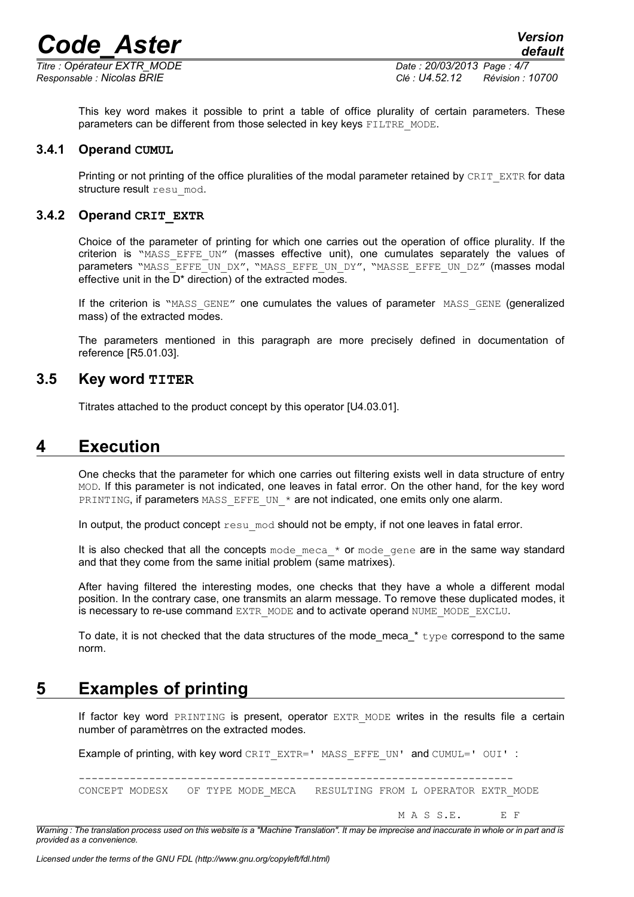# *Code\_Aster Version*

*default*

This key word makes it possible to print a table of office plurality of certain parameters. These parameters can be different from those selected in key keys FILTRE\_MODE.

#### **3.4.1 Operand CUMUL**

Printing or not printing of the office pluralities of the modal parameter retained by CRIT\_EXTR for data structure result resu mod.

#### **3.4.2 Operand CRIT\_EXTR**

Choice of the parameter of printing for which one carries out the operation of office plurality. If the criterion is "MASS\_EFFE\_UN" (masses effective unit), one cumulates separately the values of parameters "MASS\_EFFE\_UN\_DX", "MASS\_EFFE\_UN\_DY", "MASSE\_EFFE\_UN\_DZ" (masses modal effective unit in the D\* direction) of the extracted modes.

If the criterion is "MASS GENE" one cumulates the values of parameter MASS GENE (generalized mass) of the extracted modes.

The parameters mentioned in this paragraph are more precisely defined in documentation of reference [R5.01.03].

#### **3.5 Key word TITER**

Titrates attached to the product concept by this operator [U4.03.01].

### **4 Execution**

One checks that the parameter for which one carries out filtering exists well in data structure of entry MOD. If this parameter is not indicated, one leaves in fatal error. On the other hand, for the key word PRINTING, if parameters MASS\_EFFE\_UN\_\* are not indicated, one emits only one alarm.

In output, the product concept  $r \in \mathbb{R}^n$  mod should not be empty, if not one leaves in fatal error.

It is also checked that all the concepts mode\_meca\_\* or mode\_gene are in the same way standard and that they come from the same initial problem (same matrixes).

After having filtered the interesting modes, one checks that they have a whole a different modal position. In the contrary case, one transmits an alarm message. To remove these duplicated modes, it is necessary to re-use command EXTR\_MODE and to activate operand NUME\_MODE\_EXCLU.

To date, it is not checked that the data structures of the mode meca  $*$  type correspond to the same norm.

## **5 Examples of printing**

If factor key word PRINTING is present, operator EXTR MODE writes in the results file a certain number of paramètrres on the extracted modes.

Example of printing, with key word CRIT\_EXTR=' MASS\_EFFE\_UN' and CUMUL=' OUI' :

--------------------------------------------------------------------

CONCEPT MODESX OF TYPE MODE MECA RESULTING FROM L OPERATOR EXTR MODE

M A S S.E. E F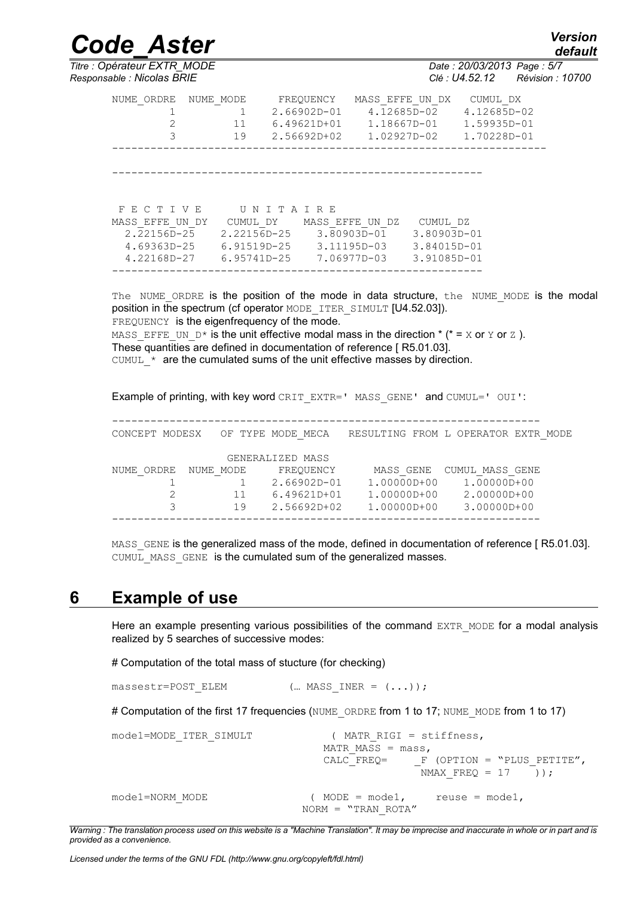*Titre : Opérateur EXTR\_MODE Date : 20/03/2013 Page : 5/7*

*Code\_Aster Version default*

*Responsable : Nicolas BRIE Clé : U4.52.12 Révision : 10700*

| NUME ORDRE<br>3                | NUME MODE<br>11<br>19          | FREOUENCY<br>$2.66902D - 01$<br>6.49621D+01<br>$2.56692D + 02$ | MASS EFFE UN DX<br>1.18667D-01<br>$1.02927D - 02$ | 4.12685D-02                    | CUMUL DX<br>$4.12685D - 02$<br>1.59935D-01<br>1.70228D-01 |
|--------------------------------|--------------------------------|----------------------------------------------------------------|---------------------------------------------------|--------------------------------|-----------------------------------------------------------|
| FECTIVE<br>MASS EFFE UN DY     | UNITAIRE<br>CUMUL DY           | MASS EFFE UN DZ                                                |                                                   | CUMUL DZ                       |                                                           |
| $2.22156D - 25$<br>4.69363D-25 | 2.22156D-25<br>$6.91519D - 25$ |                                                                | 3.80903D-01<br>$3.11195D - 03$                    | 3.80903D-01<br>$3.84015D - 01$ |                                                           |
| 4.22168D-27                    | $6.95741D - 25$                |                                                                | 7.06977D-03                                       | $3.91085D - 01$                |                                                           |

The NUME ORDRE is the position of the mode in data structure, the NUME MODE is the modal position in the spectrum (cf operator MODE\_ITER\_SIMULT [U4.52.03]). FREQUENCY is the eigenfrequency of the mode.

MASS EFFE UN  $D^*$  is the unit effective modal mass in the direction  $*$  ( $* = X$  or  $Y$  or  $Z$  ). These quantities are defined in documentation of reference [ R5.01.03]. CUMUL  $*$  are the cumulated sums of the unit effective masses by direction.

Example of printing, with key word CRIT\_EXTR=' MASS\_GENE' and CUMUL=' OUI':

-------------------------------------------------------------------

CONCEPT MODESX OF TYPE MODE MECA RESULTING FROM L OPERATOR EXTR MODE GENERALIZED MASS NUME\_ORDRE NUME\_MODE FREQUENCY MASS\_GENE CUMUL\_MASS\_GENE 1 1 2.66902D-01 1.00000D+00 1.00000D+00 2 11 6.49621D+01 1.00000D+00 2.00000D+00 3 19 2.56692D+02 1.00000D+00 3.00000D+00 -------------------------------------------------------------------

MASS GENE is the generalized mass of the mode, defined in documentation of reference [ R5.01.03]. CUMUL MASS GENE is the cumulated sum of the generalized masses.

### **6 Example of use**

Here an example presenting various possibilities of the command EXTR MODE for a modal analysis realized by 5 searches of successive modes:

# Computation of the total mass of stucture (for checking)

massestr=POST\_ELEM  $($ ... MASS\_INER =  $( . . .))$ ;

# Computation of the first 17 frequencies (NUME\_ORDRE from 1 to 17; NUME\_MODE from 1 to 17)

```
mode1=MODE_ITER_SIMULT ( MATR_RIGI = stiffness,
                              MATR_MASS = mass,<br>CALC FREQ= F
                                           F (OPTION = "PLUS PETITE",
                                            NMAX FREQ = 17 ));
mode1=NORM_MODE ( MODE = mode1, reuse = mode1,
                           NORM = "TRAN_ROTA"
```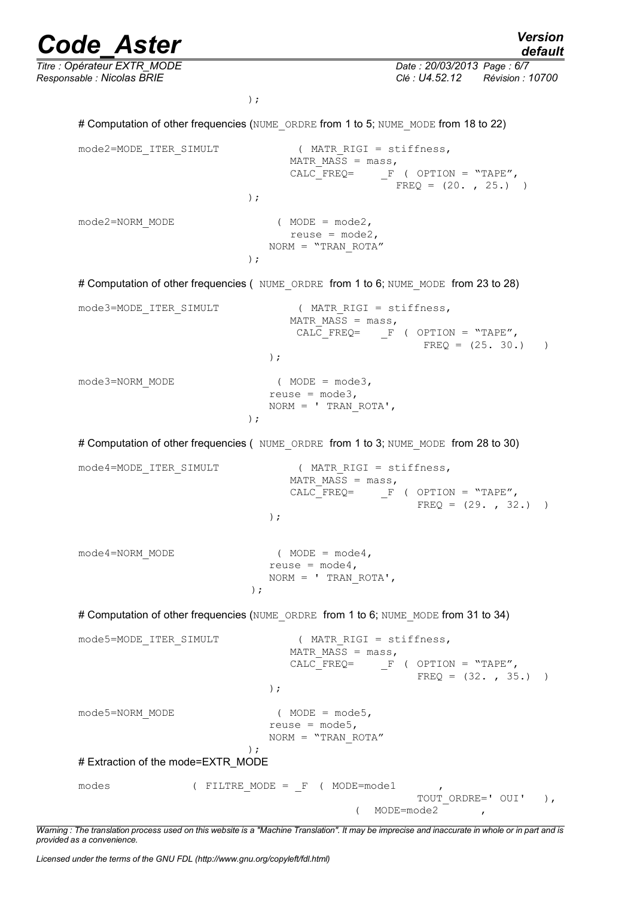*Code\_Aster Version default Titre : Opérateur EXTR\_MODE Date : 20/03/2013 Page : 6/7 Responsable : Nicolas BRIE Clé : U4.52.12 Révision : 10700* ); # Computation of other frequencies (NUME\_ORDRE from 1 to 5; NUME\_MODE from 18 to 22) mode2=MODE\_ITER\_SIMULT ( MATR\_RIGI = stiffness, MATR\_MASS =  $mass$ ,<br>CALC FREQ= F  $F$  ( OPTION = "TAPE",  $FREQ = (20. , 25. )$ ); mode2=NORM\_MODE ( MODE = mode2, reuse =  $mode2$ , NORM = "TRAN\_ROTA" ); # Computation of other frequencies ( NUME ORDRE from 1 to 6; NUME MODE from 23 to 28) mode3=MODE\_ITER\_SIMULT ( MATR\_RIGI = stiffness, MATR MASS =  $mass,$ CALC FREQ=  $F$  ( OPTION = "TAPE",  $FRED = (25. 30.)$ ); mode3=NORM\_MODE ( MODE = mode3, reuse =  $mode3$ ,  $NORM = ' TRAN ROTA',$ ); # Computation of other frequencies ( NUME ORDRE from 1 to 3; NUME MODE from 28 to 30) mode4=MODE\_ITER\_SIMULT ( MATR\_RIGI = stiffness, MATR MASS =  $mass,$  $CALC_FREQ=$   $F$  ( OPTION = "TAPE",  $FREQ = (29. , 32. )$ );  $mode4 = NORM MODE$  ( $MODE = mode4$ , reuse =  $mode4$ ,  $NORM = ' TRAN ROTA',$ ); # Computation of other frequencies (NUME\_ORDRE from 1 to 6; NUME\_MODE from 31 to 34) mode5=MODE ITER SIMULT ( MATR RIGI = stiffness, MATR\_MASS =  $mass$ ,<br>CALC FREQ= F  $F$  ( OPTION = "TAPE",  $FREQ = (32. , 35. )$ ); mode5=NORM\_MODE ( MODE = mode5, reuse =  $mode5$ , NORM = "TRAN\_ROTA" ); # Extraction of the mode=EXTR\_MODE modes (FILTRE\_MODE = F ( MODE=mode1 TOUT ORDRE=' OUI' ), ( MODE=mode2 ,